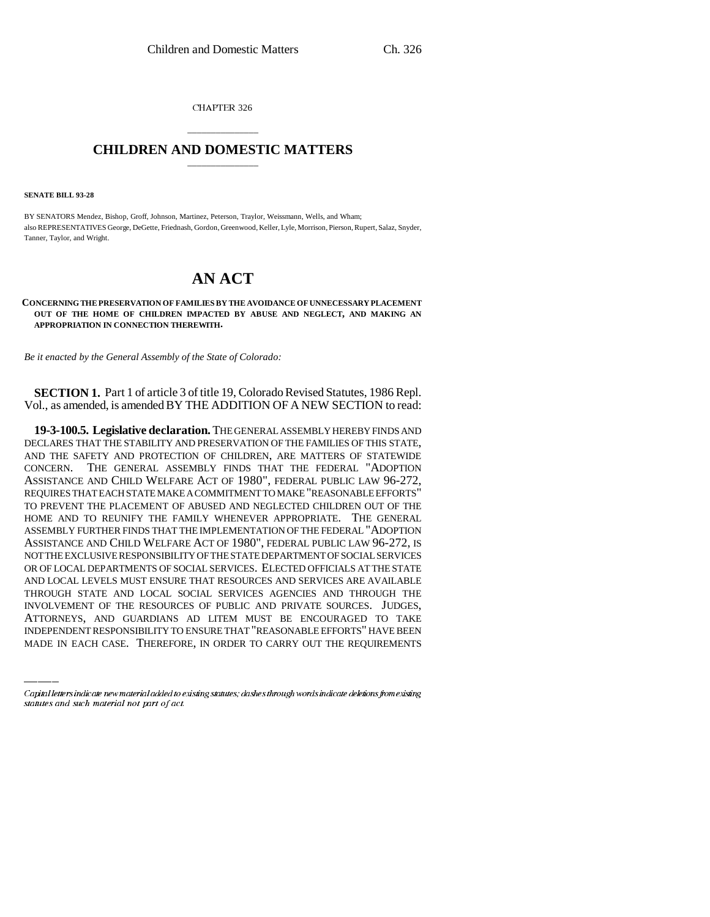CHAPTER 326

## \_\_\_\_\_\_\_\_\_\_\_\_\_\_\_ **CHILDREN AND DOMESTIC MATTERS** \_\_\_\_\_\_\_\_\_\_\_\_\_\_\_

**SENATE BILL 93-28**

BY SENATORS Mendez, Bishop, Groff, Johnson, Martinez, Peterson, Traylor, Weissmann, Wells, and Wham; also REPRESENTATIVES George, DeGette, Friednash, Gordon, Greenwood, Keller, Lyle, Morrison, Pierson, Rupert, Salaz, Snyder, Tanner, Taylor, and Wright.

## **AN ACT**

**CONCERNING THE PRESERVATION OF FAMILIES BY THE AVOIDANCE OF UNNECESSARY PLACEMENT OUT OF THE HOME OF CHILDREN IMPACTED BY ABUSE AND NEGLECT, AND MAKING AN APPROPRIATION IN CONNECTION THEREWITH.**

*Be it enacted by the General Assembly of the State of Colorado:*

**SECTION 1.** Part 1 of article 3 of title 19, Colorado Revised Statutes, 1986 Repl. Vol., as amended, is amended BY THE ADDITION OF A NEW SECTION to read:

THROUGH STATE AND LOCAL SOCIAL SERVICES AGENCIES AND THROUGH THE **19-3-100.5. Legislative declaration.** THE GENERAL ASSEMBLY HEREBY FINDS AND DECLARES THAT THE STABILITY AND PRESERVATION OF THE FAMILIES OF THIS STATE, AND THE SAFETY AND PROTECTION OF CHILDREN, ARE MATTERS OF STATEWIDE CONCERN. THE GENERAL ASSEMBLY FINDS THAT THE FEDERAL "ADOPTION ASSISTANCE AND CHILD WELFARE ACT OF 1980", FEDERAL PUBLIC LAW 96-272, REQUIRES THAT EACH STATE MAKE A COMMITMENT TO MAKE "REASONABLE EFFORTS" TO PREVENT THE PLACEMENT OF ABUSED AND NEGLECTED CHILDREN OUT OF THE HOME AND TO REUNIFY THE FAMILY WHENEVER APPROPRIATE. THE GENERAL ASSEMBLY FURTHER FINDS THAT THE IMPLEMENTATION OF THE FEDERAL "ADOPTION ASSISTANCE AND CHILD WELFARE ACT OF 1980", FEDERAL PUBLIC LAW 96-272, IS NOT THE EXCLUSIVE RESPONSIBILITY OF THE STATE DEPARTMENT OF SOCIAL SERVICES OR OF LOCAL DEPARTMENTS OF SOCIAL SERVICES. ELECTED OFFICIALS AT THE STATE AND LOCAL LEVELS MUST ENSURE THAT RESOURCES AND SERVICES ARE AVAILABLE INVOLVEMENT OF THE RESOURCES OF PUBLIC AND PRIVATE SOURCES. JUDGES, ATTORNEYS, AND GUARDIANS AD LITEM MUST BE ENCOURAGED TO TAKE INDEPENDENT RESPONSIBILITY TO ENSURE THAT "REASONABLE EFFORTS" HAVE BEEN MADE IN EACH CASE. THEREFORE, IN ORDER TO CARRY OUT THE REQUIREMENTS

Capital letters indicate new material added to existing statutes; dashes through words indicate deletions from existing statutes and such material not part of act.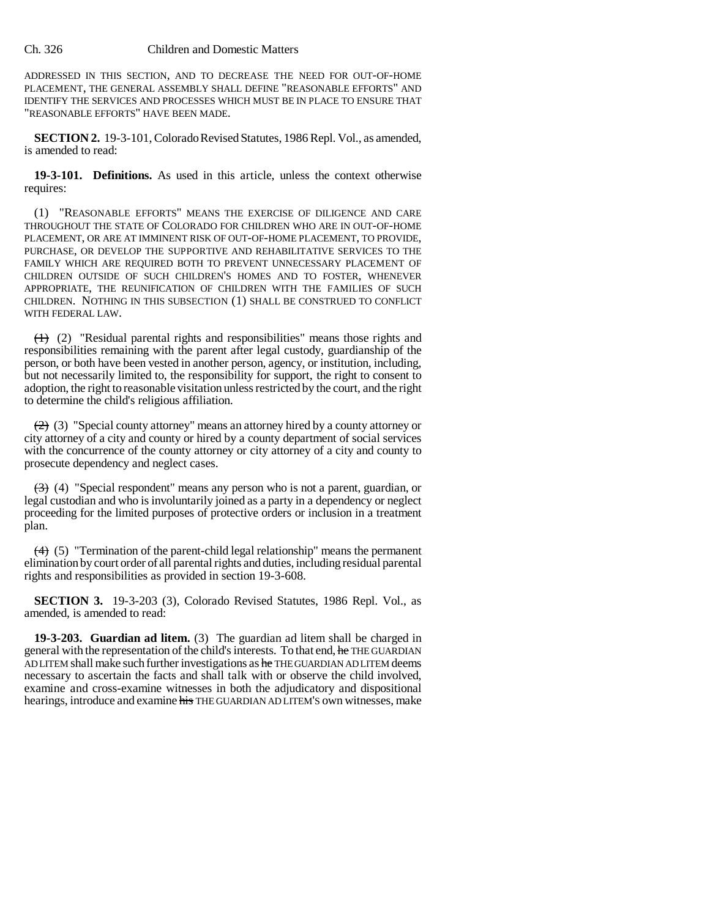## Ch. 326 Children and Domestic Matters

ADDRESSED IN THIS SECTION, AND TO DECREASE THE NEED FOR OUT-OF-HOME PLACEMENT, THE GENERAL ASSEMBLY SHALL DEFINE "REASONABLE EFFORTS" AND IDENTIFY THE SERVICES AND PROCESSES WHICH MUST BE IN PLACE TO ENSURE THAT "REASONABLE EFFORTS" HAVE BEEN MADE.

**SECTION 2.** 19-3-101, Colorado Revised Statutes, 1986 Repl. Vol., as amended, is amended to read:

**19-3-101. Definitions.** As used in this article, unless the context otherwise requires:

(1) "REASONABLE EFFORTS" MEANS THE EXERCISE OF DILIGENCE AND CARE THROUGHOUT THE STATE OF COLORADO FOR CHILDREN WHO ARE IN OUT-OF-HOME PLACEMENT, OR ARE AT IMMINENT RISK OF OUT-OF-HOME PLACEMENT, TO PROVIDE, PURCHASE, OR DEVELOP THE SUPPORTIVE AND REHABILITATIVE SERVICES TO THE FAMILY WHICH ARE REQUIRED BOTH TO PREVENT UNNECESSARY PLACEMENT OF CHILDREN OUTSIDE OF SUCH CHILDREN'S HOMES AND TO FOSTER, WHENEVER APPROPRIATE, THE REUNIFICATION OF CHILDREN WITH THE FAMILIES OF SUCH CHILDREN. NOTHING IN THIS SUBSECTION (1) SHALL BE CONSTRUED TO CONFLICT WITH FEDERAL LAW.

(1) (2) "Residual parental rights and responsibilities" means those rights and responsibilities remaining with the parent after legal custody, guardianship of the person, or both have been vested in another person, agency, or institution, including, but not necessarily limited to, the responsibility for support, the right to consent to adoption, the right to reasonable visitation unless restricted by the court, and the right to determine the child's religious affiliation.

 $(2)$  (3) "Special county attorney" means an attorney hired by a county attorney or city attorney of a city and county or hired by a county department of social services with the concurrence of the county attorney or city attorney of a city and county to prosecute dependency and neglect cases.

 $(3)$  (4) "Special respondent" means any person who is not a parent, guardian, or legal custodian and who is involuntarily joined as a party in a dependency or neglect proceeding for the limited purposes of protective orders or inclusion in a treatment plan.

(4) (5) "Termination of the parent-child legal relationship" means the permanent elimination by court order of all parental rights and duties, including residual parental rights and responsibilities as provided in section 19-3-608.

**SECTION 3.** 19-3-203 (3), Colorado Revised Statutes, 1986 Repl. Vol., as amended, is amended to read:

**19-3-203. Guardian ad litem.** (3) The guardian ad litem shall be charged in general with the representation of the child's interests. To that end, he THE GUARDIAN AD LITEM shall make such further investigations as he THE GUARDIAN AD LITEM deems necessary to ascertain the facts and shall talk with or observe the child involved, examine and cross-examine witnesses in both the adjudicatory and dispositional hearings, introduce and examine his THE GUARDIAN AD LITEM'S own witnesses, make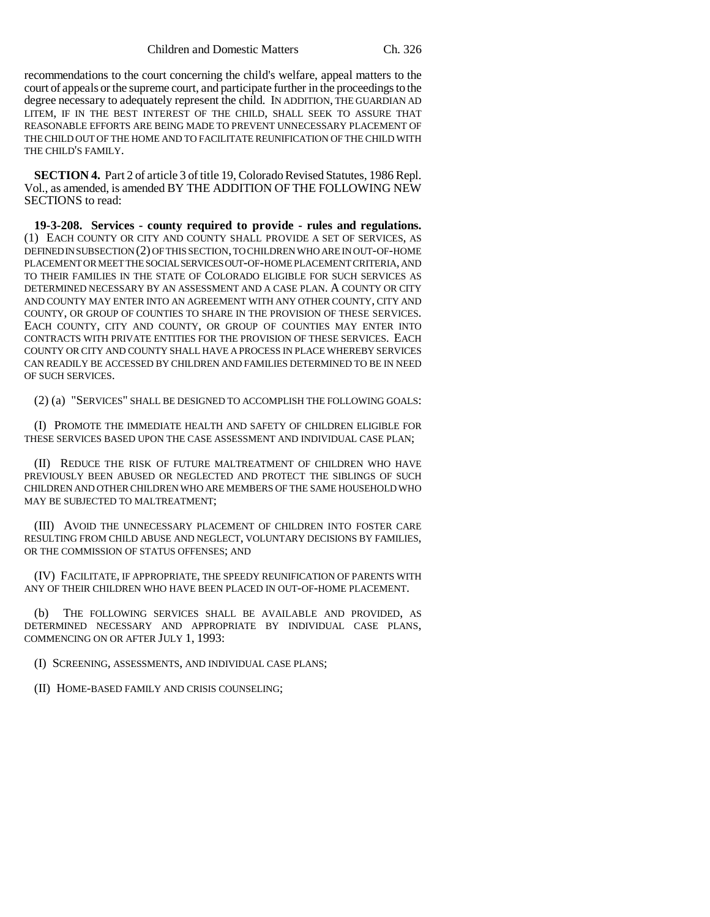recommendations to the court concerning the child's welfare, appeal matters to the court of appeals or the supreme court, and participate further in the proceedings to the degree necessary to adequately represent the child. IN ADDITION, THE GUARDIAN AD LITEM, IF IN THE BEST INTEREST OF THE CHILD, SHALL SEEK TO ASSURE THAT REASONABLE EFFORTS ARE BEING MADE TO PREVENT UNNECESSARY PLACEMENT OF THE CHILD OUT OF THE HOME AND TO FACILITATE REUNIFICATION OF THE CHILD WITH THE CHILD'S FAMILY.

**SECTION 4.** Part 2 of article 3 of title 19, Colorado Revised Statutes, 1986 Repl. Vol., as amended, is amended BY THE ADDITION OF THE FOLLOWING NEW SECTIONS to read:

**19-3-208. Services - county required to provide - rules and regulations.** (1) EACH COUNTY OR CITY AND COUNTY SHALL PROVIDE A SET OF SERVICES, AS DEFINED IN SUBSECTION (2) OF THIS SECTION, TO CHILDREN WHO ARE IN OUT-OF-HOME PLACEMENT OR MEET THE SOCIAL SERVICES OUT-OF-HOME PLACEMENT CRITERIA, AND TO THEIR FAMILIES IN THE STATE OF COLORADO ELIGIBLE FOR SUCH SERVICES AS DETERMINED NECESSARY BY AN ASSESSMENT AND A CASE PLAN. A COUNTY OR CITY AND COUNTY MAY ENTER INTO AN AGREEMENT WITH ANY OTHER COUNTY, CITY AND COUNTY, OR GROUP OF COUNTIES TO SHARE IN THE PROVISION OF THESE SERVICES. EACH COUNTY, CITY AND COUNTY, OR GROUP OF COUNTIES MAY ENTER INTO CONTRACTS WITH PRIVATE ENTITIES FOR THE PROVISION OF THESE SERVICES. EACH COUNTY OR CITY AND COUNTY SHALL HAVE A PROCESS IN PLACE WHEREBY SERVICES CAN READILY BE ACCESSED BY CHILDREN AND FAMILIES DETERMINED TO BE IN NEED OF SUCH SERVICES.

(2) (a) "SERVICES" SHALL BE DESIGNED TO ACCOMPLISH THE FOLLOWING GOALS:

(I) PROMOTE THE IMMEDIATE HEALTH AND SAFETY OF CHILDREN ELIGIBLE FOR THESE SERVICES BASED UPON THE CASE ASSESSMENT AND INDIVIDUAL CASE PLAN;

(II) REDUCE THE RISK OF FUTURE MALTREATMENT OF CHILDREN WHO HAVE PREVIOUSLY BEEN ABUSED OR NEGLECTED AND PROTECT THE SIBLINGS OF SUCH CHILDREN AND OTHER CHILDREN WHO ARE MEMBERS OF THE SAME HOUSEHOLD WHO MAY BE SUBJECTED TO MALTREATMENT;

(III) AVOID THE UNNECESSARY PLACEMENT OF CHILDREN INTO FOSTER CARE RESULTING FROM CHILD ABUSE AND NEGLECT, VOLUNTARY DECISIONS BY FAMILIES, OR THE COMMISSION OF STATUS OFFENSES; AND

(IV) FACILITATE, IF APPROPRIATE, THE SPEEDY REUNIFICATION OF PARENTS WITH ANY OF THEIR CHILDREN WHO HAVE BEEN PLACED IN OUT-OF-HOME PLACEMENT.

(b) THE FOLLOWING SERVICES SHALL BE AVAILABLE AND PROVIDED, AS DETERMINED NECESSARY AND APPROPRIATE BY INDIVIDUAL CASE PLANS, COMMENCING ON OR AFTER JULY 1, 1993:

(I) SCREENING, ASSESSMENTS, AND INDIVIDUAL CASE PLANS;

(II) HOME-BASED FAMILY AND CRISIS COUNSELING;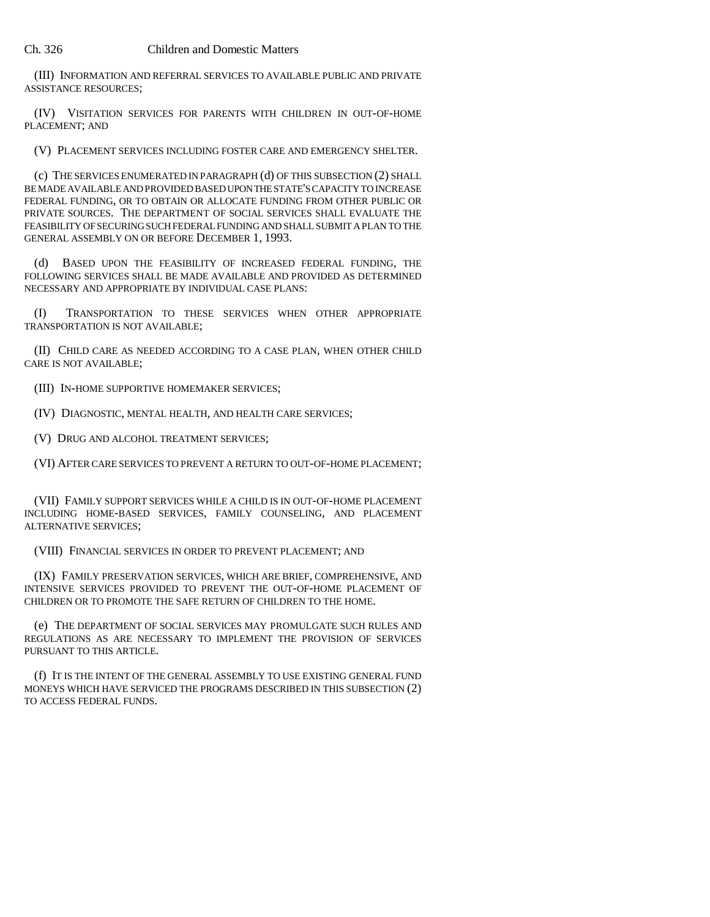(III) INFORMATION AND REFERRAL SERVICES TO AVAILABLE PUBLIC AND PRIVATE ASSISTANCE RESOURCES;

(IV) VISITATION SERVICES FOR PARENTS WITH CHILDREN IN OUT-OF-HOME PLACEMENT; AND

(V) PLACEMENT SERVICES INCLUDING FOSTER CARE AND EMERGENCY SHELTER.

(c) THE SERVICES ENUMERATED IN PARAGRAPH (d) OF THIS SUBSECTION (2) SHALL BE MADE AVAILABLE AND PROVIDED BASED UPON THE STATE'S CAPACITY TO INCREASE FEDERAL FUNDING, OR TO OBTAIN OR ALLOCATE FUNDING FROM OTHER PUBLIC OR PRIVATE SOURCES. THE DEPARTMENT OF SOCIAL SERVICES SHALL EVALUATE THE FEASIBILITY OF SECURING SUCH FEDERAL FUNDING AND SHALL SUBMIT A PLAN TO THE GENERAL ASSEMBLY ON OR BEFORE DECEMBER 1, 1993.

(d) BASED UPON THE FEASIBILITY OF INCREASED FEDERAL FUNDING, THE FOLLOWING SERVICES SHALL BE MADE AVAILABLE AND PROVIDED AS DETERMINED NECESSARY AND APPROPRIATE BY INDIVIDUAL CASE PLANS:

(I) TRANSPORTATION TO THESE SERVICES WHEN OTHER APPROPRIATE TRANSPORTATION IS NOT AVAILABLE;

(II) CHILD CARE AS NEEDED ACCORDING TO A CASE PLAN, WHEN OTHER CHILD CARE IS NOT AVAILABLE;

(III) IN-HOME SUPPORTIVE HOMEMAKER SERVICES;

(IV) DIAGNOSTIC, MENTAL HEALTH, AND HEALTH CARE SERVICES;

(V) DRUG AND ALCOHOL TREATMENT SERVICES;

(VI) AFTER CARE SERVICES TO PREVENT A RETURN TO OUT-OF-HOME PLACEMENT;

(VII) FAMILY SUPPORT SERVICES WHILE A CHILD IS IN OUT-OF-HOME PLACEMENT INCLUDING HOME-BASED SERVICES, FAMILY COUNSELING, AND PLACEMENT ALTERNATIVE SERVICES;

(VIII) FINANCIAL SERVICES IN ORDER TO PREVENT PLACEMENT; AND

(IX) FAMILY PRESERVATION SERVICES, WHICH ARE BRIEF, COMPREHENSIVE, AND INTENSIVE SERVICES PROVIDED TO PREVENT THE OUT-OF-HOME PLACEMENT OF CHILDREN OR TO PROMOTE THE SAFE RETURN OF CHILDREN TO THE HOME.

(e) THE DEPARTMENT OF SOCIAL SERVICES MAY PROMULGATE SUCH RULES AND REGULATIONS AS ARE NECESSARY TO IMPLEMENT THE PROVISION OF SERVICES PURSUANT TO THIS ARTICLE.

(f) IT IS THE INTENT OF THE GENERAL ASSEMBLY TO USE EXISTING GENERAL FUND MONEYS WHICH HAVE SERVICED THE PROGRAMS DESCRIBED IN THIS SUBSECTION (2) TO ACCESS FEDERAL FUNDS.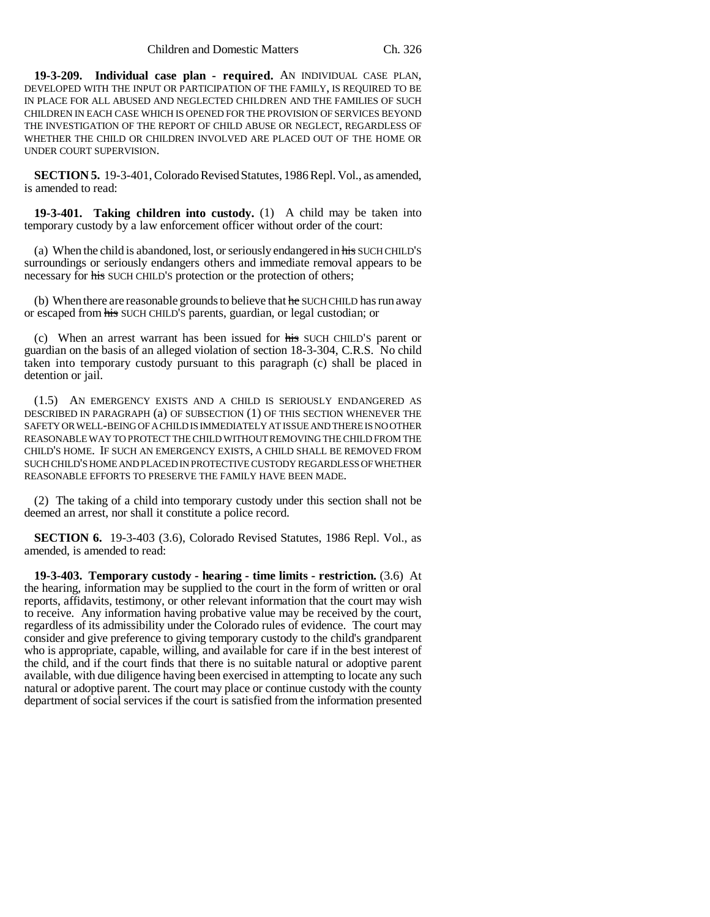**19-3-209. Individual case plan - required.** AN INDIVIDUAL CASE PLAN, DEVELOPED WITH THE INPUT OR PARTICIPATION OF THE FAMILY, IS REQUIRED TO BE IN PLACE FOR ALL ABUSED AND NEGLECTED CHILDREN AND THE FAMILIES OF SUCH CHILDREN IN EACH CASE WHICH IS OPENED FOR THE PROVISION OF SERVICES BEYOND THE INVESTIGATION OF THE REPORT OF CHILD ABUSE OR NEGLECT, REGARDLESS OF WHETHER THE CHILD OR CHILDREN INVOLVED ARE PLACED OUT OF THE HOME OR UNDER COURT SUPERVISION.

**SECTION 5.** 19-3-401, Colorado Revised Statutes, 1986 Repl. Vol., as amended, is amended to read:

**19-3-401. Taking children into custody.** (1) A child may be taken into temporary custody by a law enforcement officer without order of the court:

(a) When the child is abandoned, lost, or seriously endangered in his SUCH CHILD'S surroundings or seriously endangers others and immediate removal appears to be necessary for his SUCH CHILD'S protection or the protection of others;

(b) When there are reasonable grounds to believe that  $he$  SUCH CHILD has run away or escaped from his SUCH CHILD'S parents, guardian, or legal custodian; or

(c) When an arrest warrant has been issued for his SUCH CHILD'S parent or guardian on the basis of an alleged violation of section 18-3-304, C.R.S. No child taken into temporary custody pursuant to this paragraph (c) shall be placed in detention or jail.

(1.5) AN EMERGENCY EXISTS AND A CHILD IS SERIOUSLY ENDANGERED AS DESCRIBED IN PARAGRAPH (a) OF SUBSECTION (1) OF THIS SECTION WHENEVER THE SAFETY OR WELL-BEING OF A CHILD IS IMMEDIATELY AT ISSUE AND THERE IS NO OTHER REASONABLE WAY TO PROTECT THE CHILD WITHOUT REMOVING THE CHILD FROM THE CHILD'S HOME. IF SUCH AN EMERGENCY EXISTS, A CHILD SHALL BE REMOVED FROM SUCH CHILD'S HOME AND PLACED IN PROTECTIVE CUSTODY REGARDLESS OF WHETHER REASONABLE EFFORTS TO PRESERVE THE FAMILY HAVE BEEN MADE.

(2) The taking of a child into temporary custody under this section shall not be deemed an arrest, nor shall it constitute a police record.

**SECTION 6.** 19-3-403 (3.6), Colorado Revised Statutes, 1986 Repl. Vol., as amended, is amended to read:

**19-3-403. Temporary custody - hearing - time limits - restriction.** (3.6) At the hearing, information may be supplied to the court in the form of written or oral reports, affidavits, testimony, or other relevant information that the court may wish to receive. Any information having probative value may be received by the court, regardless of its admissibility under the Colorado rules of evidence. The court may consider and give preference to giving temporary custody to the child's grandparent who is appropriate, capable, willing, and available for care if in the best interest of the child, and if the court finds that there is no suitable natural or adoptive parent available, with due diligence having been exercised in attempting to locate any such natural or adoptive parent. The court may place or continue custody with the county department of social services if the court is satisfied from the information presented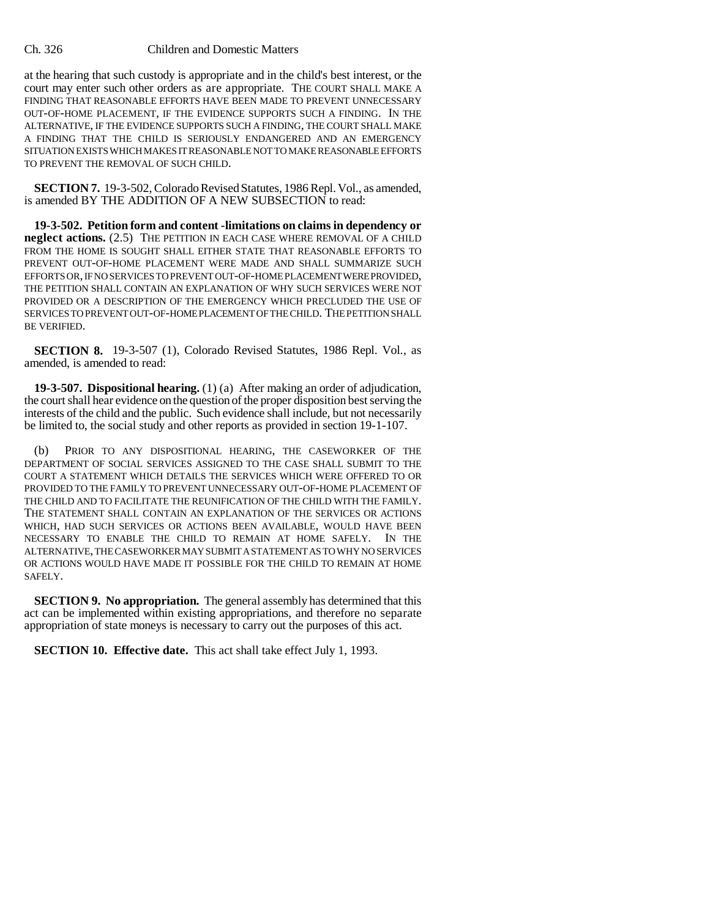## Ch. 326 Children and Domestic Matters

at the hearing that such custody is appropriate and in the child's best interest, or the court may enter such other orders as are appropriate. THE COURT SHALL MAKE A FINDING THAT REASONABLE EFFORTS HAVE BEEN MADE TO PREVENT UNNECESSARY OUT-OF-HOME PLACEMENT, IF THE EVIDENCE SUPPORTS SUCH A FINDING. IN THE ALTERNATIVE, IF THE EVIDENCE SUPPORTS SUCH A FINDING, THE COURT SHALL MAKE A FINDING THAT THE CHILD IS SERIOUSLY ENDANGERED AND AN EMERGENCY SITUATION EXISTS WHICH MAKES IT REASONABLE NOT TO MAKE REASONABLE EFFORTS TO PREVENT THE REMOVAL OF SUCH CHILD.

**SECTION 7.** 19-3-502, Colorado Revised Statutes, 1986 Repl. Vol., as amended, is amended BY THE ADDITION OF A NEW SUBSECTION to read:

**19-3-502. Petition form and content -limitations on claims in dependency or neglect actions.** (2.5) THE PETITION IN EACH CASE WHERE REMOVAL OF A CHILD FROM THE HOME IS SOUGHT SHALL EITHER STATE THAT REASONABLE EFFORTS TO PREVENT OUT-OF-HOME PLACEMENT WERE MADE AND SHALL SUMMARIZE SUCH EFFORTS OR, IF NO SERVICES TO PREVENT OUT-OF-HOME PLACEMENT WERE PROVIDED, THE PETITION SHALL CONTAIN AN EXPLANATION OF WHY SUCH SERVICES WERE NOT PROVIDED OR A DESCRIPTION OF THE EMERGENCY WHICH PRECLUDED THE USE OF SERVICES TO PREVENT OUT-OF-HOME PLACEMENT OF THE CHILD. THE PETITION SHALL BE VERIFIED.

**SECTION 8.** 19-3-507 (1), Colorado Revised Statutes, 1986 Repl. Vol., as amended, is amended to read:

**19-3-507. Dispositional hearing.** (1) (a) After making an order of adjudication, the court shall hear evidence on the question of the proper disposition best serving the interests of the child and the public. Such evidence shall include, but not necessarily be limited to, the social study and other reports as provided in section 19-1-107.

(b) PRIOR TO ANY DISPOSITIONAL HEARING, THE CASEWORKER OF THE DEPARTMENT OF SOCIAL SERVICES ASSIGNED TO THE CASE SHALL SUBMIT TO THE COURT A STATEMENT WHICH DETAILS THE SERVICES WHICH WERE OFFERED TO OR PROVIDED TO THE FAMILY TO PREVENT UNNECESSARY OUT-OF-HOME PLACEMENT OF THE CHILD AND TO FACILITATE THE REUNIFICATION OF THE CHILD WITH THE FAMILY. THE STATEMENT SHALL CONTAIN AN EXPLANATION OF THE SERVICES OR ACTIONS WHICH, HAD SUCH SERVICES OR ACTIONS BEEN AVAILABLE, WOULD HAVE BEEN NECESSARY TO ENABLE THE CHILD TO REMAIN AT HOME SAFELY. IN THE ALTERNATIVE, THE CASEWORKER MAY SUBMIT A STATEMENT AS TO WHY NO SERVICES OR ACTIONS WOULD HAVE MADE IT POSSIBLE FOR THE CHILD TO REMAIN AT HOME SAFELY.

**SECTION 9. No appropriation.** The general assembly has determined that this act can be implemented within existing appropriations, and therefore no separate appropriation of state moneys is necessary to carry out the purposes of this act.

**SECTION 10. Effective date.** This act shall take effect July 1, 1993.